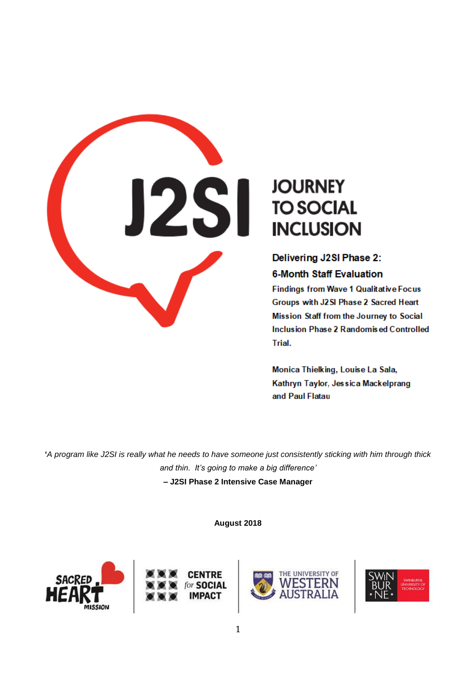

# **JOURNEY TO SOCIAL INCLUSION**

Delivering J2SI Phase 2: **6-Month Staff Evaluation** 

**Findings from Wave 1 Qualitative Focus** Groups with J2 SI Phase 2 Sacred Heart Mission Staff from the Journey to Social Inclusion Phase 2 Randomised Controlled Trial.

Monica Thielking, Louise La Sala, Kathryn Taylor, Jessica Mackelprang and Paul Flatau

**'***A program like J2SI is really what he needs to have someone just consistently sticking with him through thick and thin. It's going to make a big difference'* **– J2SI Phase 2 Intensive Case Manager**

**August 2018**







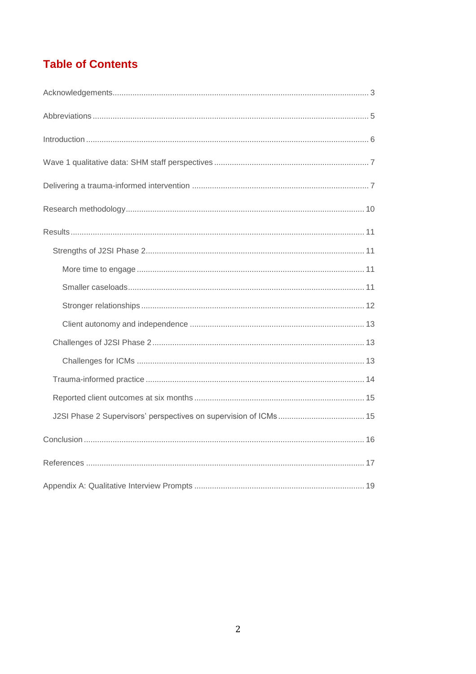# **Table of Contents**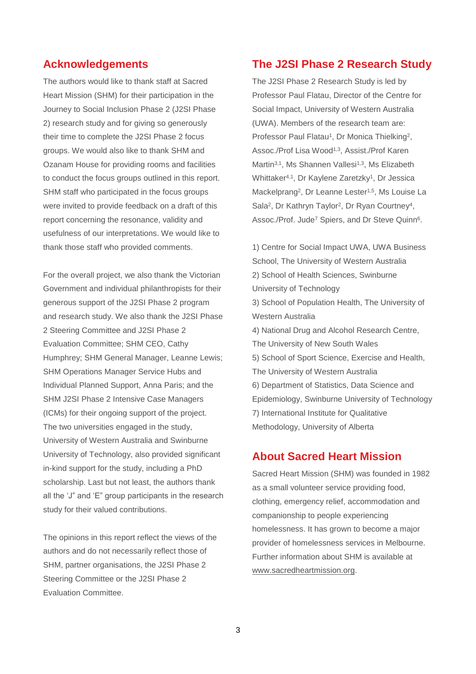### **Acknowledgements**

The authors would like to thank staff at Sacred Heart Mission (SHM) for their participation in the Journey to Social Inclusion Phase 2 (J2SI Phase 2) research study and for giving so generously their time to complete the J2SI Phase 2 focus groups. We would also like to thank SHM and Ozanam House for providing rooms and facilities to conduct the focus groups outlined in this report. SHM staff who participated in the focus groups were invited to provide feedback on a draft of this report concerning the resonance, validity and usefulness of our interpretations. We would like to thank those staff who provided comments.

For the overall project, we also thank the Victorian Government and individual philanthropists for their generous support of the J2SI Phase 2 program and research study. We also thank the J2SI Phase 2 Steering Committee and J2SI Phase 2 Evaluation Committee; SHM CEO, Cathy Humphrey; SHM General Manager, Leanne Lewis; SHM Operations Manager Service Hubs and Individual Planned Support, Anna Paris; and the SHM J2SI Phase 2 Intensive Case Managers (ICMs) for their ongoing support of the project. The two universities engaged in the study, University of Western Australia and Swinburne University of Technology, also provided significant in-kind support for the study, including a PhD scholarship. Last but not least, the authors thank all the 'J" and 'E" group participants in the research study for their valued contributions.

The opinions in this report reflect the views of the authors and do not necessarily reflect those of SHM, partner organisations, the J2SI Phase 2 Steering Committee or the J2SI Phase 2 Evaluation Committee.

### **The J2SI Phase 2 Research Study**

The J2SI Phase 2 Research Study is led by Professor Paul Flatau, Director of the Centre for Social Impact, University of Western Australia (UWA). Members of the research team are: Professor Paul Flatau<sup>1</sup>, Dr Monica Thielking<sup>2</sup>, Assoc./Prof Lisa Wood<sup>1,3</sup>, Assist./Prof Karen Martin<sup>3,1</sup>, Ms Shannen Vallesi<sup>1,3</sup>, Ms Elizabeth Whittaker<sup>4,1</sup>, Dr Kaylene Zaretzky<sup>1</sup>, Dr Jessica Mackelprang<sup>2</sup> , Dr Leanne Lester1,5, Ms Louise La Sala<sup>2</sup>, Dr Kathryn Taylor<sup>2</sup>, Dr Ryan Courtney<sup>4</sup>, Assoc./Prof. Jude<sup>7</sup> Spiers, and Dr Steve Quinn<sup>6</sup>.

1) Centre for Social Impact UWA, UWA Business School, The University of Western Australia 2) School of Health Sciences, Swinburne University of Technology 3) School of Population Health, The University of Western Australia 4) National Drug and Alcohol Research Centre, The University of New South Wales 5) School of Sport Science, Exercise and Health, The University of Western Australia 6) Department of Statistics, Data Science and Epidemiology, Swinburne University of Technology 7) International Institute for Qualitative Methodology, University of Alberta

### **About Sacred Heart Mission**

Sacred Heart Mission (SHM) was founded in 1982 as a small volunteer service providing food, clothing, emergency relief, accommodation and companionship to people experiencing homelessness. It has grown to become a major provider of homelessness services in Melbourne. Further information about SHM is available at [www.sacredheartmission.org.](http://www.sacredheartmission.org/)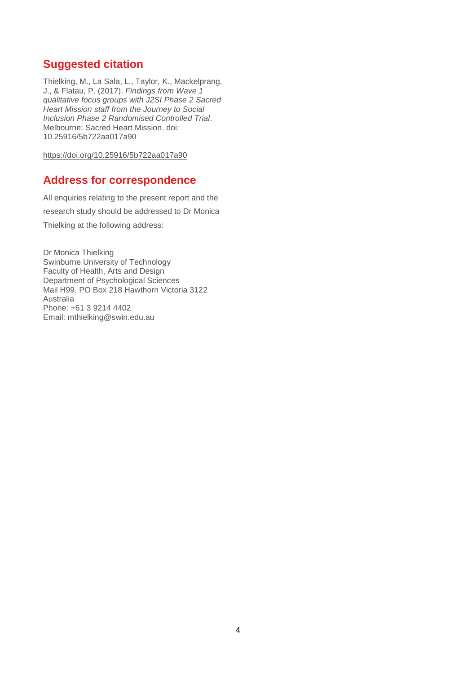# **Suggested citation**

Thielking, M., La Sala, L., Taylor, K., Mackelprang, J., & Flatau, P. (2017). *Findings from Wave 1 qualitative focus groups with J2SI Phase 2 Sacred Heart Mission staff from the Journey to Social Inclusion Phase 2 Randomised Controlled Trial*. Melbourne: Sacred Heart Mission. doi: 10.25916/5b722aa017a90

[https://doi.org/10.25916/5b722aa017a90](https://protect-au.mimecast.com/s/z8wBCP7yX7H0wNE9i041Fh?domain=doi.org)

## **Address for correspondence**

All enquiries relating to the present report and the research study should be addressed to Dr Monica Thielking at the following address:

Dr Monica Thielking Swinburne University of Technology Faculty of Health, Arts and Design Department of Psychological Sciences Mail H99, PO Box 218 Hawthorn Victoria 3122 Australia Phone: [+61 3 9214 4402](file:///C:/tel/+61%203%209214%204402) Email: [mthielking@swin.edu.au](mailto:mthielking@swin.edu.au)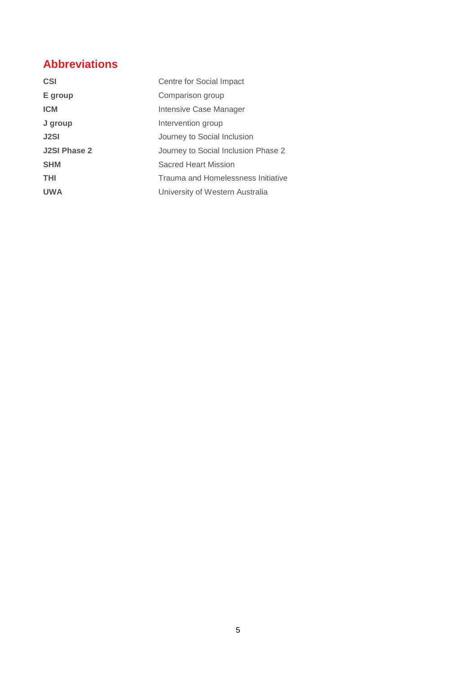# **Abbreviations**

| <b>CSI</b>          | Centre for Social Impact            |
|---------------------|-------------------------------------|
| E group             | Comparison group                    |
| <b>ICM</b>          | Intensive Case Manager              |
| J group             | Intervention group                  |
| <b>J2SI</b>         | Journey to Social Inclusion         |
| <b>J2SI Phase 2</b> | Journey to Social Inclusion Phase 2 |
| <b>SHM</b>          | Sacred Heart Mission                |
| THI                 | Trauma and Homelessness Initiative  |
| <b>UWA</b>          | University of Western Australia     |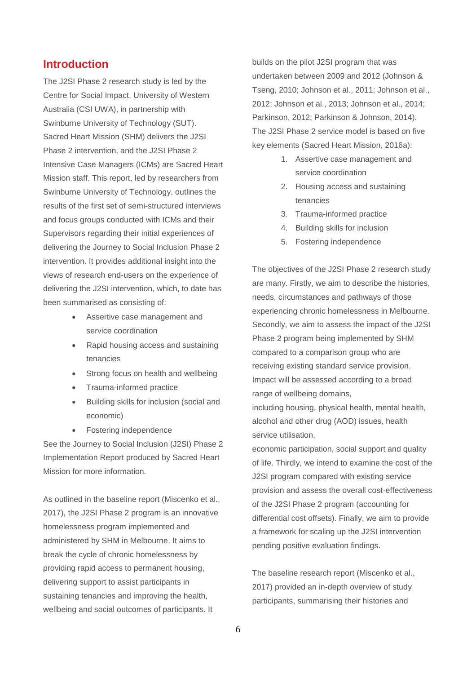### **Introduction**

The J2SI Phase 2 research study is led by the Centre for Social Impact, University of Western Australia (CSI UWA), in partnership with Swinburne University of Technology (SUT). Sacred Heart Mission (SHM) delivers the J2SI Phase 2 intervention, and the J2SI Phase 2 Intensive Case Managers (ICMs) are Sacred Heart Mission staff. This report, led by researchers from Swinburne University of Technology, outlines the results of the first set of semi-structured interviews and focus groups conducted with ICMs and their Supervisors regarding their initial experiences of delivering the Journey to Social Inclusion Phase 2 intervention. It provides additional insight into the views of research end-users on the experience of delivering the J2SI intervention, which, to date has been summarised as consisting of:

- Assertive case management and service coordination
- Rapid housing access and sustaining tenancies
- Strong focus on health and wellbeing
- Trauma-informed practice
- Building skills for inclusion (social and economic)
- Fostering independence

See the Journey to Social Inclusion (J2SI) Phase 2 Implementation Report produced by Sacred Heart Mission for more information.

As outlined in the baseline report (Miscenko et al., 2017), the J2SI Phase 2 program is an innovative homelessness program implemented and administered by SHM in Melbourne. It aims to break the cycle of chronic homelessness by providing rapid access to permanent housing, delivering support to assist participants in sustaining tenancies and improving the health, wellbeing and social outcomes of participants. It

builds on the pilot J2SI program that was undertaken between 2009 and 2012 (Johnson & Tseng, 2010; Johnson et al., 2011; Johnson et al., 2012; Johnson et al., 2013; Johnson et al., 2014; Parkinson, 2012; Parkinson & Johnson, 2014). The J2SI Phase 2 service model is based on five key elements (Sacred Heart Mission, 2016a):

- 1. Assertive case management and service coordination
- 2. Housing access and sustaining tenancies
- 3. Trauma-informed practice
- 4. Building skills for inclusion
- 5. Fostering independence

The objectives of the J2SI Phase 2 research study are many. Firstly, we aim to describe the histories, needs, circumstances and pathways of those experiencing chronic homelessness in Melbourne. Secondly, we aim to assess the impact of the J2SI Phase 2 program being implemented by SHM compared to a comparison group who are receiving existing standard service provision. Impact will be assessed according to a broad range of wellbeing domains,

including housing, physical health, mental health, alcohol and other drug (AOD) issues, health service utilisation,

economic participation, social support and quality of life. Thirdly, we intend to examine the cost of the J2SI program compared with existing service provision and assess the overall cost-effectiveness of the J2SI Phase 2 program (accounting for differential cost offsets). Finally, we aim to provide a framework for scaling up the J2SI intervention pending positive evaluation findings.

The baseline research report (Miscenko et al., 2017) provided an in-depth overview of study participants, summarising their histories and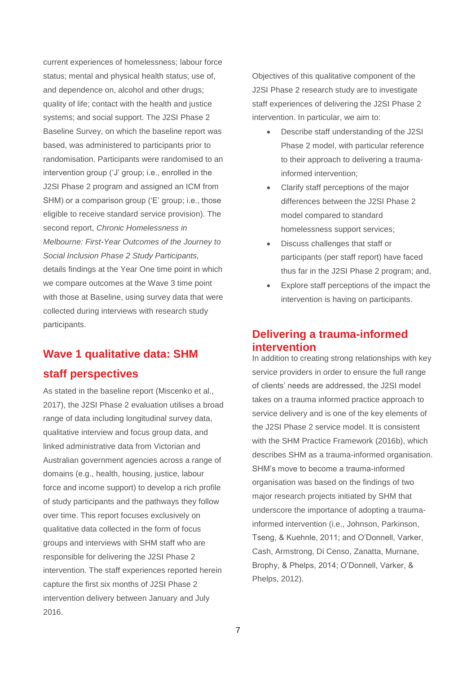current experiences of homelessness; labour force status; mental and physical health status; use of, and dependence on, alcohol and other drugs; quality of life; contact with the health and justice systems; and social support. The J2SI Phase 2 Baseline Survey, on which the baseline report was based, was administered to participants prior to randomisation. Participants were randomised to an intervention group ('J' group; i.e., enrolled in the J2SI Phase 2 program and assigned an ICM from SHM) or a comparison group ('E' group; i.e., those eligible to receive standard service provision). The second report, *Chronic Homelessness in Melbourne: First-Year Outcomes of the Journey to Social Inclusion Phase 2 Study Participants,*  details findings at the Year One time point in which we compare outcomes at the Wave 3 time point with those at Baseline, using survey data that were collected during interviews with research study participants.

# **Wave 1 qualitative data: SHM staff perspectives**

As stated in the baseline report (Miscenko et al., 2017), the J2SI Phase 2 evaluation utilises a broad range of data including longitudinal survey data, qualitative interview and focus group data, and linked administrative data from Victorian and Australian government agencies across a range of domains (e.g., health, housing, justice, labour force and income support) to develop a rich profile of study participants and the pathways they follow over time. This report focuses exclusively on qualitative data collected in the form of focus groups and interviews with SHM staff who are responsible for delivering the J2SI Phase 2 intervention. The staff experiences reported herein capture the first six months of J2SI Phase 2 intervention delivery between January and July 2016.

Objectives of this qualitative component of the J2SI Phase 2 research study are to investigate staff experiences of delivering the J2SI Phase 2 intervention. In particular, we aim to:

- Describe staff understanding of the J2SI Phase 2 model, with particular reference to their approach to delivering a traumainformed intervention;
- Clarify staff perceptions of the major differences between the J2SI Phase 2 model compared to standard homelessness support services;
- Discuss challenges that staff or participants (per staff report) have faced thus far in the J2SI Phase 2 program; and,
- Explore staff perceptions of the impact the intervention is having on participants.

### **Delivering a trauma-informed intervention**

In addition to creating strong relationships with key service providers in order to ensure the full range of clients' needs are addressed, the J2SI model takes on a trauma informed practice approach to service delivery and is one of the key elements of the J2SI Phase 2 service model. It is consistent with the SHM Practice Framework (2016b), which describes SHM as a trauma-informed organisation. SHM's move to become a trauma-informed organisation was based on the findings of two major research projects initiated by SHM that underscore the importance of adopting a traumainformed intervention (i.e., Johnson, Parkinson, Tseng, & Kuehnle, 2011; and O'Donnell, Varker, Cash, Armstrong, Di Censo, Zanatta, Murnane, Brophy, & Phelps, 2014; O'Donnell, Varker, & Phelps, 2012).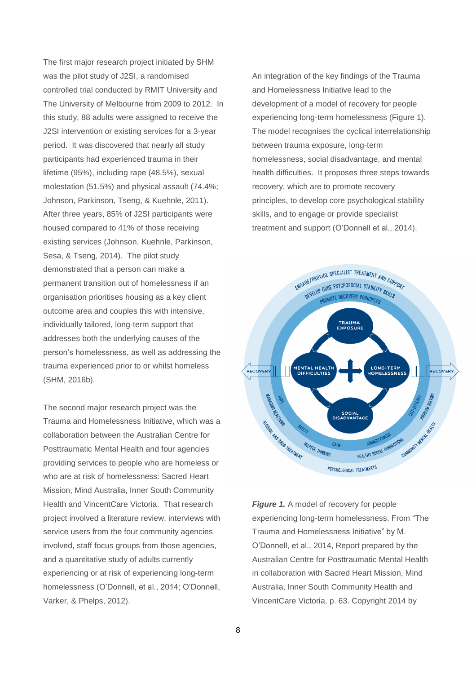The first major research project initiated by SHM was the pilot study of J2SI, a randomised controlled trial conducted by RMIT University and The University of Melbourne from 2009 to 2012. In this study, 88 adults were assigned to receive the J2SI intervention or existing services for a 3-year period. It was discovered that nearly all study participants had experienced trauma in their lifetime (95%), including rape (48.5%), sexual molestation (51.5%) and physical assault (74.4%; Johnson, Parkinson, Tseng, & Kuehnle, 2011). After three years, 85% of J2SI participants were housed compared to 41% of those receiving existing services (Johnson, Kuehnle, Parkinson, Sesa, & Tseng, 2014). The pilot study demonstrated that a person can make a permanent transition out of homelessness if an organisation prioritises housing as a key client outcome area and couples this with intensive, individually tailored, long-term support that addresses both the underlying causes of the person's homelessness, as well as addressing the trauma experienced prior to or whilst homeless (SHM, 2016b).

The second major research project was the Trauma and Homelessness Initiative, which was a collaboration between the Australian Centre for Posttraumatic Mental Health and four agencies providing services to people who are homeless or who are at risk of homelessness: Sacred Heart Mission, Mind Australia, Inner South Community Health and VincentCare Victoria. That research project involved a literature review, interviews with service users from the four community agencies involved, staff focus groups from those agencies, and a quantitative study of adults currently experiencing or at risk of experiencing long-term homelessness (O'Donnell, et al., 2014; O'Donnell, Varker, & Phelps, 2012).

An integration of the key findings of the Trauma and Homelessness Initiative lead to the development of a model of recovery for people experiencing long-term homelessness (Figure 1). The model recognises the cyclical interrelationship between trauma exposure, long-term homelessness, social disadvantage, and mental health difficulties. It proposes three steps towards recovery, which are to promote recovery principles, to develop core psychological stability skills, and to engage or provide specialist treatment and support (O'Donnell et al., 2014).



*Figure 1.* A model of recovery for people experiencing long-term homelessness. From "The Trauma and Homelessness Initiative" by M. O'Donnell, et al., 2014, Report prepared by the Australian Centre for Posttraumatic Mental Health in collaboration with Sacred Heart Mission, Mind Australia, Inner South Community Health and VincentCare Victoria, p. 63. Copyright 2014 by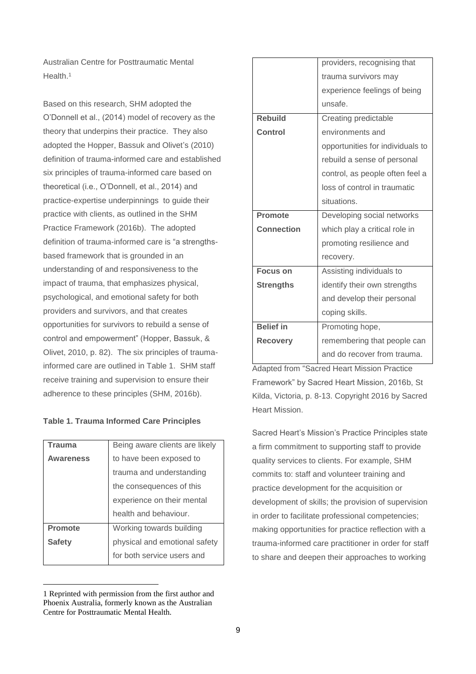Australian Centre for Posttraumatic Mental Health. 1

Based on this research, SHM adopted the O'Donnell et al., (2014) model of recovery as the theory that underpins their practice. They also adopted the Hopper, Bassuk and Olivet's (2010) definition of trauma-informed care and established six principles of trauma-informed care based on theoretical (i.e., O'Donnell, et al., 2014) and practice-expertise underpinnings to guide their practice with clients, as outlined in the SHM Practice Framework (2016b). The adopted definition of trauma-informed care is "a strengthsbased framework that is grounded in an understanding of and responsiveness to the impact of trauma, that emphasizes physical, psychological, and emotional safety for both providers and survivors, and that creates opportunities for survivors to rebuild a sense of control and empowerment" (Hopper, Bassuk, & Olivet, 2010, p. 82). The six principles of traumainformed care are outlined in Table 1. SHM staff receive training and supervision to ensure their adherence to these principles (SHM, 2016b).

#### **Table 1. Trauma Informed Care Principles**

| Trauma           | Being aware clients are likely |
|------------------|--------------------------------|
| <b>Awareness</b> | to have been exposed to        |
|                  | trauma and understanding       |
|                  | the consequences of this       |
|                  | experience on their mental     |
|                  | health and behaviour.          |
| <b>Promote</b>   | Working towards building       |
| <b>Safety</b>    | physical and emotional safety  |
|                  | for both service users and     |
|                  |                                |

<sup>1</sup> Reprinted with permission from the first author and Phoenix Australia, formerly known as the Australian Centre for Posttraumatic Mental Health.

 $\overline{a}$ 

|                   | providers, recognising that      |
|-------------------|----------------------------------|
|                   | trauma survivors may             |
|                   | experience feelings of being     |
|                   | unsafe.                          |
| <b>Rebuild</b>    | Creating predictable             |
| Control           | environments and                 |
|                   | opportunities for individuals to |
|                   | rebuild a sense of personal      |
|                   | control, as people often feel a  |
|                   | loss of control in traumatic     |
|                   | situations.                      |
| <b>Promote</b>    | Developing social networks       |
|                   |                                  |
| <b>Connection</b> | which play a critical role in    |
|                   | promoting resilience and         |
|                   | recovery.                        |
| <b>Focus on</b>   | Assisting individuals to         |
| <b>Strengths</b>  | identify their own strengths     |
|                   | and develop their personal       |
|                   | coping skills.                   |
| <b>Belief in</b>  | Promoting hope,                  |
| <b>Recovery</b>   | remembering that people can      |

Adapted from "Sacred Heart Mission Practice Framework" by Sacred Heart Mission, 2016b, St Kilda, Victoria, p. 8-13. Copyright 2016 by Sacred Heart Mission.

Sacred Heart's Mission's Practice Principles state a firm commitment to supporting staff to provide quality services to clients. For example, SHM commits to: staff and volunteer training and practice development for the acquisition or development of skills; the provision of supervision in order to facilitate professional competencies; making opportunities for practice reflection with a trauma-informed care practitioner in order for staff to share and deepen their approaches to working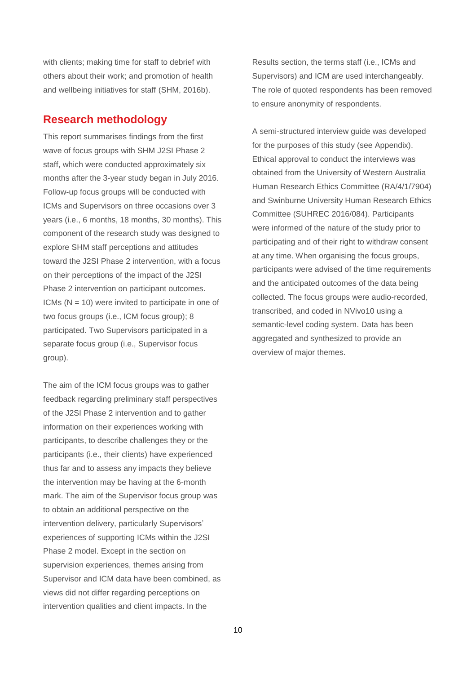with clients; making time for staff to debrief with others about their work; and promotion of health and wellbeing initiatives for staff (SHM, 2016b).

### **Research methodology**

This report summarises findings from the first wave of focus groups with SHM J2SI Phase 2 staff, which were conducted approximately six months after the 3-year study began in July 2016. Follow-up focus groups will be conducted with ICMs and Supervisors on three occasions over 3 years (i.e., 6 months, 18 months, 30 months). This component of the research study was designed to explore SHM staff perceptions and attitudes toward the J2SI Phase 2 intervention, with a focus on their perceptions of the impact of the J2SI Phase 2 intervention on participant outcomes. ICMs  $(N = 10)$  were invited to participate in one of two focus groups (i.e., ICM focus group); 8 participated. Two Supervisors participated in a separate focus group (i.e., Supervisor focus group).

The aim of the ICM focus groups was to gather feedback regarding preliminary staff perspectives of the J2SI Phase 2 intervention and to gather information on their experiences working with participants, to describe challenges they or the participants (i.e., their clients) have experienced thus far and to assess any impacts they believe the intervention may be having at the 6-month mark. The aim of the Supervisor focus group was to obtain an additional perspective on the intervention delivery, particularly Supervisors' experiences of supporting ICMs within the J2SI Phase 2 model. Except in the section on supervision experiences, themes arising from Supervisor and ICM data have been combined, as views did not differ regarding perceptions on intervention qualities and client impacts. In the

Results section, the terms staff (i.e., ICMs and Supervisors) and ICM are used interchangeably. The role of quoted respondents has been removed to ensure anonymity of respondents.

A semi-structured interview guide was developed for the purposes of this study (see Appendix). Ethical approval to conduct the interviews was obtained from the University of Western Australia Human Research Ethics Committee (RA/4/1/7904) and Swinburne University Human Research Ethics Committee (SUHREC 2016/084). Participants were informed of the nature of the study prior to participating and of their right to withdraw consent at any time. When organising the focus groups, participants were advised of the time requirements and the anticipated outcomes of the data being collected. The focus groups were audio-recorded, transcribed, and coded in NVivo10 using a semantic-level coding system. Data has been aggregated and synthesized to provide an overview of major themes.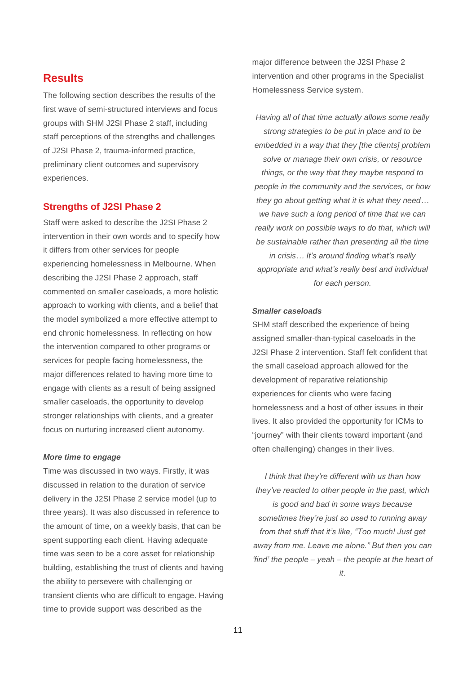### **Results**

The following section describes the results of the first wave of semi-structured interviews and focus groups with SHM J2SI Phase 2 staff, including staff perceptions of the strengths and challenges of J2SI Phase 2, trauma-informed practice, preliminary client outcomes and supervisory experiences.

### **Strengths of J2SI Phase 2**

Staff were asked to describe the J2SI Phase 2 intervention in their own words and to specify how it differs from other services for people experiencing homelessness in Melbourne. When describing the J2SI Phase 2 approach, staff commented on smaller caseloads, a more holistic approach to working with clients, and a belief that the model symbolized a more effective attempt to end chronic homelessness. In reflecting on how the intervention compared to other programs or services for people facing homelessness, the major differences related to having more time to engage with clients as a result of being assigned smaller caseloads, the opportunity to develop stronger relationships with clients, and a greater focus on nurturing increased client autonomy.

#### *More time to engage*

Time was discussed in two ways. Firstly, it was discussed in relation to the duration of service delivery in the J2SI Phase 2 service model (up to three years). It was also discussed in reference to the amount of time, on a weekly basis, that can be spent supporting each client. Having adequate time was seen to be a core asset for relationship building, establishing the trust of clients and having the ability to persevere with challenging or transient clients who are difficult to engage. Having time to provide support was described as the

major difference between the J2SI Phase 2 intervention and other programs in the Specialist Homelessness Service system.

*Having all of that time actually allows some really strong strategies to be put in place and to be embedded in a way that they [the clients] problem solve or manage their own crisis, or resource things, or the way that they maybe respond to people in the community and the services, or how they go about getting what it is what they need… we have such a long period of time that we can really work on possible ways to do that, which will be sustainable rather than presenting all the time in crisis… It's around finding what's really appropriate and what's really best and individual for each person.*

#### *Smaller caseloads*

SHM staff described the experience of being assigned smaller-than-typical caseloads in the J2SI Phase 2 intervention. Staff felt confident that the small caseload approach allowed for the development of reparative relationship experiences for clients who were facing homelessness and a host of other issues in their lives. It also provided the opportunity for ICMs to "journey" with their clients toward important (and often challenging) changes in their lives.

*I think that they're different with us than how they've reacted to other people in the past, which is good and bad in some ways because sometimes they're just so used to running away from that stuff that it's like, "Too much! Just get away from me. Leave me alone." But then you can 'find' the people – yeah – the people at the heart of it*.

11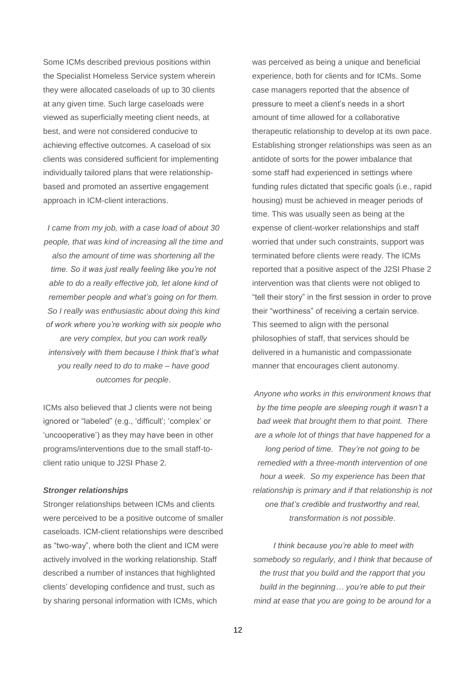Some ICMs described previous positions within the Specialist Homeless Service system wherein they were allocated caseloads of up to 30 clients at any given time. Such large caseloads were viewed as superficially meeting client needs, at best, and were not considered conducive to achieving effective outcomes. A caseload of six clients was considered sufficient for implementing individually tailored plans that were relationshipbased and promoted an assertive engagement approach in ICM-client interactions.

*I came from my job, with a case load of about 30 people, that was kind of increasing all the time and also the amount of time was shortening all the time. So it was just really feeling like you're not able to do a really effective job, let alone kind of remember people and what's going on for them. So I really was enthusiastic about doing this kind of work where you're working with six people who are very complex, but you can work really intensively with them because I think that's what you really need to do to make – have good outcomes for people*.

ICMs also believed that J clients were not being ignored or "labeled" (e.g., 'difficult'; 'complex' or 'uncooperative') as they may have been in other programs/interventions due to the small staff-toclient ratio unique to J2SI Phase 2.

#### *Stronger relationships*

Stronger relationships between ICMs and clients were perceived to be a positive outcome of smaller caseloads. ICM-client relationships were described as "two-way", where both the client and ICM were actively involved in the working relationship. Staff described a number of instances that highlighted clients' developing confidence and trust, such as by sharing personal information with ICMs, which

was perceived as being a unique and beneficial experience, both for clients and for ICMs. Some case managers reported that the absence of pressure to meet a client's needs in a short amount of time allowed for a collaborative therapeutic relationship to develop at its own pace. Establishing stronger relationships was seen as an antidote of sorts for the power imbalance that some staff had experienced in settings where funding rules dictated that specific goals (i.e., rapid housing) must be achieved in meager periods of time. This was usually seen as being at the expense of client-worker relationships and staff worried that under such constraints, support was terminated before clients were ready. The ICMs reported that a positive aspect of the J2SI Phase 2 intervention was that clients were not obliged to "tell their story" in the first session in order to prove their "worthiness" of receiving a certain service. This seemed to align with the personal philosophies of staff, that services should be delivered in a humanistic and compassionate manner that encourages client autonomy.

*Anyone who works in this environment knows that by the time people are sleeping rough it wasn't a bad week that brought them to that point. There are a whole lot of things that have happened for a long period of time. They're not going to be remedied with a three-month intervention of one hour a week. So my experience has been that relationship is primary and if that relationship is not one that's credible and trustworthy and real, transformation is not possible*.

*I think because you're able to meet with somebody so regularly, and I think that because of the trust that you build and the rapport that you build in the beginning… you're able to put their mind at ease that you are going to be around for a*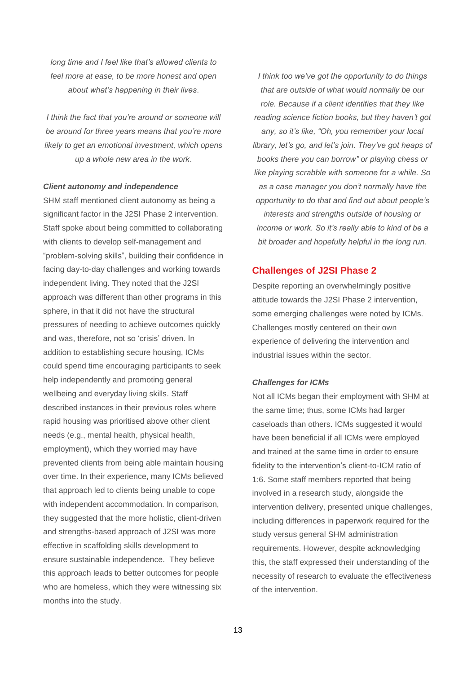*long time and I feel like that's allowed clients to feel more at ease, to be more honest and open about what's happening in their lives*.

*I think the fact that you're around or someone will be around for three years means that you're more likely to get an emotional investment, which opens up a whole new area in the work*.

#### *Client autonomy and independence*

SHM staff mentioned client autonomy as being a significant factor in the J2SI Phase 2 intervention. Staff spoke about being committed to collaborating with clients to develop self-management and "problem-solving skills", building their confidence in facing day-to-day challenges and working towards independent living. They noted that the J2SI approach was different than other programs in this sphere, in that it did not have the structural pressures of needing to achieve outcomes quickly and was, therefore, not so 'crisis' driven. In addition to establishing secure housing, ICMs could spend time encouraging participants to seek help independently and promoting general wellbeing and everyday living skills. Staff described instances in their previous roles where rapid housing was prioritised above other client needs (e.g., mental health, physical health, employment), which they worried may have prevented clients from being able maintain housing over time. In their experience, many ICMs believed that approach led to clients being unable to cope with independent accommodation. In comparison, they suggested that the more holistic, client-driven and strengths-based approach of J2SI was more effective in scaffolding skills development to ensure sustainable independence. They believe this approach leads to better outcomes for people who are homeless, which they were witnessing six months into the study.

*I think too we've got the opportunity to do things that are outside of what would normally be our role. Because if a client identifies that they like reading science fiction books, but they haven't got any, so it's like, "Oh, you remember your local library, let's go, and let's join. They've got heaps of books there you can borrow" or playing chess or like playing scrabble with someone for a while. So as a case manager you don't normally have the opportunity to do that and find out about people's interests and strengths outside of housing or income or work. So it's really able to kind of be a bit broader and hopefully helpful in the long run*.

#### **Challenges of J2SI Phase 2**

Despite reporting an overwhelmingly positive attitude towards the J2SI Phase 2 intervention, some emerging challenges were noted by ICMs. Challenges mostly centered on their own experience of delivering the intervention and industrial issues within the sector.

#### *Challenges for ICMs*

Not all ICMs began their employment with SHM at the same time; thus, some ICMs had larger caseloads than others. ICMs suggested it would have been beneficial if all ICMs were employed and trained at the same time in order to ensure fidelity to the intervention's client-to-ICM ratio of 1:6. Some staff members reported that being involved in a research study, alongside the intervention delivery, presented unique challenges, including differences in paperwork required for the study versus general SHM administration requirements. However, despite acknowledging this, the staff expressed their understanding of the necessity of research to evaluate the effectiveness of the intervention.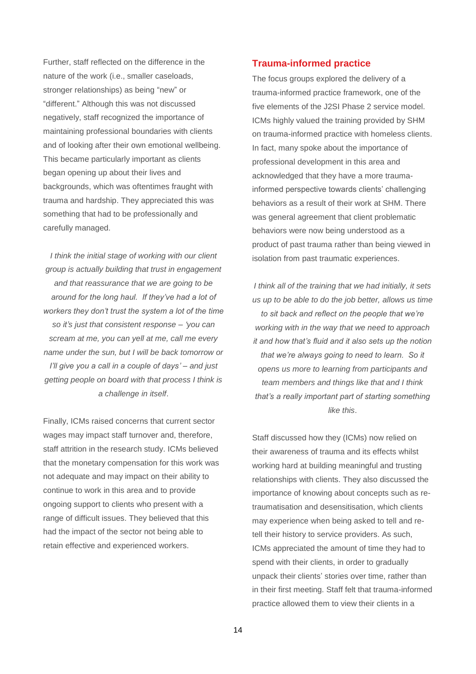Further, staff reflected on the difference in the nature of the work (i.e., smaller caseloads, stronger relationships) as being "new" or "different." Although this was not discussed negatively, staff recognized the importance of maintaining professional boundaries with clients and of looking after their own emotional wellbeing. This became particularly important as clients began opening up about their lives and backgrounds, which was oftentimes fraught with trauma and hardship. They appreciated this was something that had to be professionally and carefully managed.

*I think the initial stage of working with our client group is actually building that trust in engagement and that reassurance that we are going to be around for the long haul. If they've had a lot of workers they don't trust the system a lot of the time so it's just that consistent response – 'you can scream at me, you can yell at me, call me every name under the sun, but I will be back tomorrow or I'll give you a call in a couple of days' – and just getting people on board with that process I think is a challenge in itself*.

Finally, ICMs raised concerns that current sector wages may impact staff turnover and, therefore, staff attrition in the research study. ICMs believed that the monetary compensation for this work was not adequate and may impact on their ability to continue to work in this area and to provide ongoing support to clients who present with a range of difficult issues. They believed that this had the impact of the sector not being able to retain effective and experienced workers.

### **Trauma-informed practice**

The focus groups explored the delivery of a trauma-informed practice framework, one of the five elements of the J2SI Phase 2 service model. ICMs highly valued the training provided by SHM on trauma-informed practice with homeless clients. In fact, many spoke about the importance of professional development in this area and acknowledged that they have a more traumainformed perspective towards clients' challenging behaviors as a result of their work at SHM. There was general agreement that client problematic behaviors were now being understood as a product of past trauma rather than being viewed in isolation from past traumatic experiences.

*I think all of the training that we had initially, it sets us up to be able to do the job better, allows us time to sit back and reflect on the people that we're working with in the way that we need to approach it and how that's fluid and it also sets up the notion that we're always going to need to learn. So it opens us more to learning from participants and team members and things like that and I think that's a really important part of starting something like this*.

Staff discussed how they (ICMs) now relied on their awareness of trauma and its effects whilst working hard at building meaningful and trusting relationships with clients. They also discussed the importance of knowing about concepts such as retraumatisation and desensitisation, which clients may experience when being asked to tell and retell their history to service providers. As such, ICMs appreciated the amount of time they had to spend with their clients, in order to gradually unpack their clients' stories over time, rather than in their first meeting. Staff felt that trauma-informed practice allowed them to view their clients in a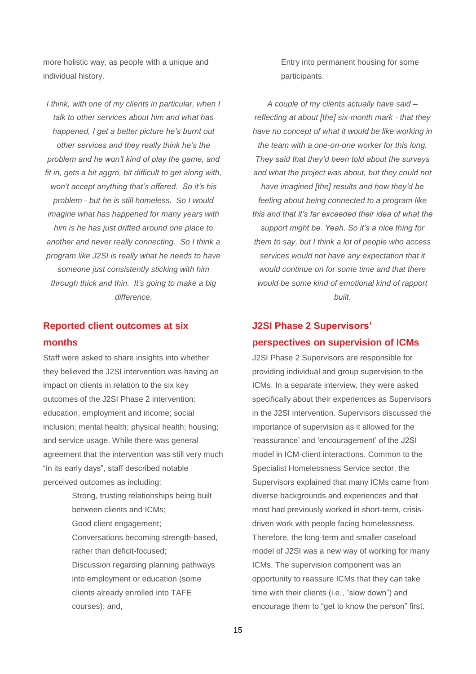more holistic way, as people with a unique and individual history.

*I think, with one of my clients in particular, when I talk to other services about him and what has happened, I get a better picture he's burnt out other services and they really think he's the problem and he won't kind of play the game, and fit in, gets a bit aggro, bit difficult to get along with, won't accept anything that's offered. So it's his problem - but he is still homeless. So I would imagine what has happened for many years with him is he has just drifted around one place to another and never really connecting. So I think a program like J2SI is really what he needs to have someone just consistently sticking with him through thick and thin. It's going to make a big difference*.

### **Reported client outcomes at six months**

Staff were asked to share insights into whether they believed the J2SI intervention was having an impact on clients in relation to the six key outcomes of the J2SI Phase 2 intervention: education, employment and income; social inclusion; mental health; physical health; housing; and service usage. While there was general agreement that the intervention was still very much "in its early days", staff described notable perceived outcomes as including:

> Strong, trusting relationships being built between clients and ICMs; Good client engagement; Conversations becoming strength-based, rather than deficit-focused; Discussion regarding planning pathways into employment or education (some clients already enrolled into TAFE courses); and,

Entry into permanent housing for some participants.

*A couple of my clients actually have said – reflecting at about [the] six-month mark - that they have no concept of what it would be like working in the team with a one-on-one worker for this long. They said that they'd been told about the surveys and what the project was about, but they could not have imagined [the] results and how they'd be feeling about being connected to a program like this and that it's far exceeded their idea of what the support might be. Yeah. So it's a nice thing for them to say, but I think a lot of people who access services would not have any expectation that it would continue on for some time and that there would be some kind of emotional kind of rapport built*.

# **J2SI Phase 2 Supervisors' perspectives on supervision of ICMs**

J2SI Phase 2 Supervisors are responsible for providing individual and group supervision to the ICMs. In a separate interview, they were asked specifically about their experiences as Supervisors in the J2SI intervention. Supervisors discussed the importance of supervision as it allowed for the 'reassurance' and 'encouragement' of the J2SI model in ICM-client interactions. Common to the Specialist Homelessness Service sector, the Supervisors explained that many ICMs came from diverse backgrounds and experiences and that most had previously worked in short-term, crisisdriven work with people facing homelessness. Therefore, the long-term and smaller caseload model of J2SI was a new way of working for many ICMs. The supervision component was an opportunity to reassure ICMs that they can take time with their clients (i.e., "slow down") and encourage them to "get to know the person" first.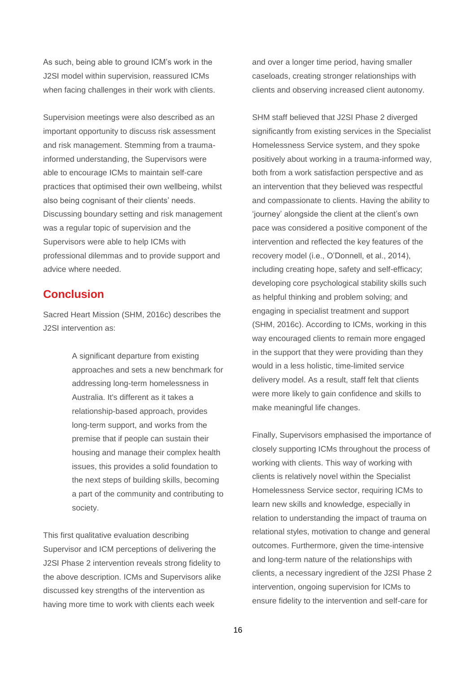As such, being able to ground ICM's work in the J2SI model within supervision, reassured ICMs when facing challenges in their work with clients.

Supervision meetings were also described as an important opportunity to discuss risk assessment and risk management. Stemming from a traumainformed understanding, the Supervisors were able to encourage ICMs to maintain self-care practices that optimised their own wellbeing, whilst also being cognisant of their clients' needs. Discussing boundary setting and risk management was a regular topic of supervision and the Supervisors were able to help ICMs with professional dilemmas and to provide support and advice where needed.

### **Conclusion**

Sacred Heart Mission (SHM, 2016c) describes the J2SI intervention as:

> A significant departure from existing approaches and sets a new benchmark for addressing long-term homelessness in Australia. It's different as it takes a relationship-based approach, provides long-term support, and works from the premise that if people can sustain their housing and manage their complex health issues, this provides a solid foundation to the next steps of building skills, becoming a part of the community and contributing to society.

This first qualitative evaluation describing Supervisor and ICM perceptions of delivering the J2SI Phase 2 intervention reveals strong fidelity to the above description. ICMs and Supervisors alike discussed key strengths of the intervention as having more time to work with clients each week

and over a longer time period, having smaller caseloads, creating stronger relationships with clients and observing increased client autonomy.

SHM staff believed that J2SI Phase 2 diverged significantly from existing services in the Specialist Homelessness Service system, and they spoke positively about working in a trauma-informed way, both from a work satisfaction perspective and as an intervention that they believed was respectful and compassionate to clients. Having the ability to 'journey' alongside the client at the client's own pace was considered a positive component of the intervention and reflected the key features of the recovery model (i.e., O'Donnell, et al., 2014), including creating hope, safety and self-efficacy; developing core psychological stability skills such as helpful thinking and problem solving; and engaging in specialist treatment and support (SHM, 2016c). According to ICMs, working in this way encouraged clients to remain more engaged in the support that they were providing than they would in a less holistic, time-limited service delivery model. As a result, staff felt that clients were more likely to gain confidence and skills to make meaningful life changes.

Finally, Supervisors emphasised the importance of closely supporting ICMs throughout the process of working with clients. This way of working with clients is relatively novel within the Specialist Homelessness Service sector, requiring ICMs to learn new skills and knowledge, especially in relation to understanding the impact of trauma on relational styles, motivation to change and general outcomes. Furthermore, given the time-intensive and long-term nature of the relationships with clients, a necessary ingredient of the J2SI Phase 2 intervention, ongoing supervision for ICMs to ensure fidelity to the intervention and self-care for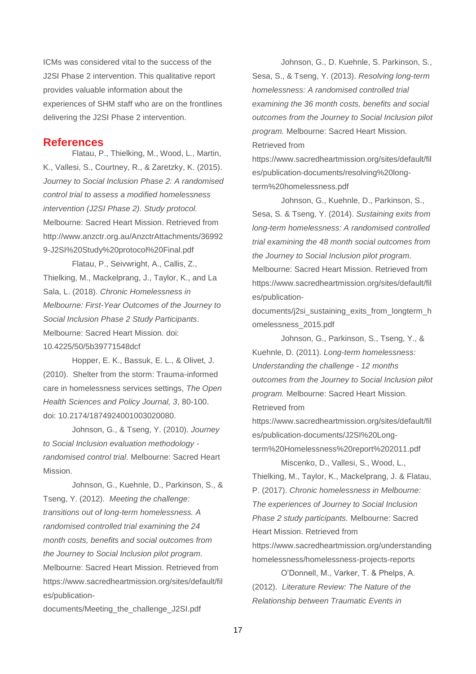ICMs was considered vital to the success of the J2SI Phase 2 intervention. This qualitative report provides valuable information about the experiences of SHM staff who are on the frontlines delivering the J2SI Phase 2 intervention.

#### **References**

Flatau, P., Thielking, M., Wood, L., Martin, K., Vallesi, S., Courtney, R., & Zaretzky, K. (2015). *Journey to Social Inclusion Phase 2: A randomised control trial to assess a modified homelessness intervention (J2SI Phase 2). Study protocol.* Melbourne: Sacred Heart Mission. Retrieved from http://www.anzctr.org.au/AnzctrAttachments/36992 9-J2SI%20Study%20protocol%20Final.pdf

Flatau, P., Seivwright, A., Callis, Z., Thielking, M., Mackelprang, J., Taylor, K., and La Sala, L. (2018). *Chronic Homelessness in Melbourne: First-Year Outcomes of the Journey to Social Inclusion Phase 2 Study Participants*. Melbourne: Sacred Heart Mission. doi: 10.4225/50/5b39771548dcf

Hopper, E. K., Bassuk, E. L., & Olivet, J. (2010). Shelter from the storm: Trauma-informed care in homelessness services settings, *The Open Health Sciences and Policy Journal, 3*, 80-100. doi: 10.2174/1874924001003020080.

Johnson, G., & Tseng, Y. (2010). *Journey to Social Inclusion evaluation methodology randomised control trial*. Melbourne: Sacred Heart Mission.

Johnson, G., Kuehnle, D., Parkinson, S., & Tseng, Y. (2012). *Meeting the challenge: transitions out of long-term homelessness. A randomised controlled trial examining the 24 month costs, benefits and social outcomes from the Journey to Social Inclusion pilot program.*  Melbourne: Sacred Heart Mission. Retrieved from https://www.sacredheartmission.org/sites/default/fil es/publication-

documents/Meeting\_the\_challenge\_J2SI.pdf

Johnson, G., D. Kuehnle, S. Parkinson, S., Sesa, S., & Tseng, Y. (2013). *Resolving long-term homelessness: A randomised controlled trial examining the 36 month costs, benefits and social outcomes from the Journey to Social Inclusion pilot program.* Melbourne: Sacred Heart Mission. Retrieved from

https://www.sacredheartmission.org/sites/default/fil es/publication-documents/resolving%20longterm%20homelessness.pdf

Johnson, G., Kuehnle, D., Parkinson, S., Sesa, S. & Tseng, Y. (2014). *Sustaining exits from long-term homelessness: A randomised controlled trial examining the 48 month social outcomes from the Journey to Social Inclusion pilot program.* Melbourne: Sacred Heart Mission. Retrieved from https://www.sacredheartmission.org/sites/default/fil es/publication-

documents/j2si\_sustaining\_exits\_from\_longterm\_h omelessness\_2015.pdf

Johnson, G., Parkinson, S., Tseng, Y., & Kuehnle, D. (2011). *Long-term homelessness: Understanding the challenge - 12 months outcomes from the Journey to Social Inclusion pilot program.* Melbourne: Sacred Heart Mission. Retrieved from

https://www.sacredheartmission.org/sites/default/fil es/publication-documents/J2SI%20Longterm%20Homelessness%20report%202011.pdf

Miscenko, D., Vallesi, S., Wood, L., Thielking, M., Taylor, K., Mackelprang, J. & Flatau, P. (2017). *Chronic homelessness in Melbourne: The experiences of Journey to Social Inclusion Phase 2 study participants.* Melbourne: Sacred Heart Mission. Retrieved from

https://www.sacredheartmission.org/understanding homelessness/homelessness-projects-reports

O'Donnell, M., Varker, T. & Phelps, A. (2012). *Literature Review: The Nature of the Relationship between Traumatic Events in*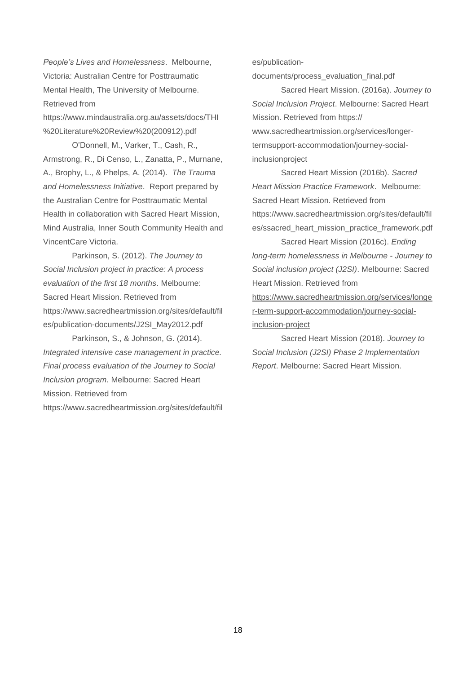*People's Lives and Homelessness*. Melbourne, Victoria: Australian Centre for Posttraumatic Mental Health, The University of Melbourne. Retrieved from

https://www.mindaustralia.org.au/assets/docs/THI %20Literature%20Review%20(200912).pdf

O'Donnell, M., Varker, T., Cash, R., Armstrong, R., Di Censo, L., Zanatta, P., Murnane, A., Brophy, L., & Phelps, A. (2014). *The Trauma and Homelessness Initiative*. Report prepared by the Australian Centre for Posttraumatic Mental Health in collaboration with Sacred Heart Mission, Mind Australia, Inner South Community Health and VincentCare Victoria.

Parkinson, S. (2012). *The Journey to Social Inclusion project in practice: A process evaluation of the first 18 months*. Melbourne: Sacred Heart Mission. Retrieved from https://www.sacredheartmission.org/sites/default/fil es/publication-documents/J2SI\_May2012.pdf

Parkinson, S., & Johnson, G. (2014). *Integrated intensive case management in practice. Final process evaluation of the Journey to Social Inclusion program.* Melbourne: Sacred Heart Mission. Retrieved from https://www.sacredheartmission.org/sites/default/fil es/publication-

documents/process\_evaluation\_final.pdf

Sacred Heart Mission. (2016a). *Journey to Social Inclusion Project*. Melbourne: Sacred Heart Mission. Retrieved from https:// www.sacredheartmission.org/services/longertermsupport-accommodation/journey-socialinclusionproject

Sacred Heart Mission (2016b). *Sacred Heart Mission Practice Framework*. Melbourne: Sacred Heart Mission. Retrieved from https://www.sacredheartmission.org/sites/default/fil es/ssacred\_heart\_mission\_practice\_framework.pdf

Sacred Heart Mission (2016c). *Ending long-term homelessness in Melbourne - Journey to Social inclusion project (J2SI)*. Melbourne: Sacred Heart Mission. Retrieved from [https://www.sacredheartmission.org/services/longe](https://www.sacredheartmission.org/services/longer-term-support-accommodation/journey-social-inclusion-project) [r-term-support-accommodation/journey-social](https://www.sacredheartmission.org/services/longer-term-support-accommodation/journey-social-inclusion-project)[inclusion-project](https://www.sacredheartmission.org/services/longer-term-support-accommodation/journey-social-inclusion-project)

Sacred Heart Mission (2018). *Journey to Social Inclusion (J2SI) Phase 2 Implementation Report*. Melbourne: Sacred Heart Mission.